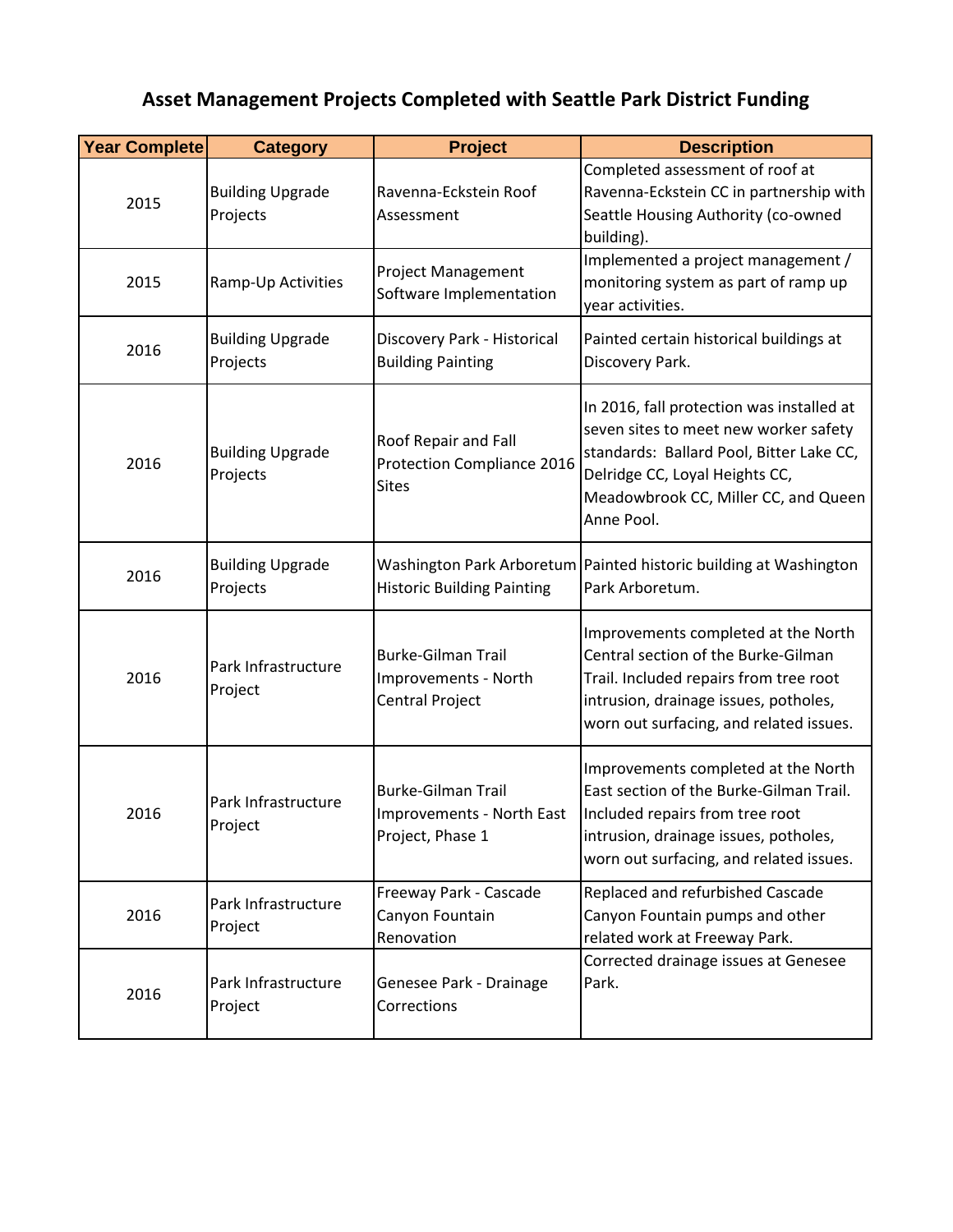## **Asset Management Projects Completed with Seattle Park District Funding**

| <b>Year Complete</b> | <b>Category</b>                     | <b>Project</b>                                                              | <b>Description</b>                                                                                                                                                                                                     |
|----------------------|-------------------------------------|-----------------------------------------------------------------------------|------------------------------------------------------------------------------------------------------------------------------------------------------------------------------------------------------------------------|
| 2015                 | <b>Building Upgrade</b><br>Projects | Ravenna-Eckstein Roof<br>Assessment                                         | Completed assessment of roof at<br>Ravenna-Eckstein CC in partnership with<br>Seattle Housing Authority (co-owned<br>building).                                                                                        |
| 2015                 | Ramp-Up Activities                  | <b>Project Management</b><br>Software Implementation                        | Implemented a project management /<br>monitoring system as part of ramp up<br>year activities.                                                                                                                         |
| 2016                 | <b>Building Upgrade</b><br>Projects | Discovery Park - Historical<br><b>Building Painting</b>                     | Painted certain historical buildings at<br>Discovery Park.                                                                                                                                                             |
| 2016                 | <b>Building Upgrade</b><br>Projects | Roof Repair and Fall<br>Protection Compliance 2016<br><b>Sites</b>          | In 2016, fall protection was installed at<br>seven sites to meet new worker safety<br>standards: Ballard Pool, Bitter Lake CC,<br>Delridge CC, Loyal Heights CC,<br>Meadowbrook CC, Miller CC, and Queen<br>Anne Pool. |
| 2016                 | <b>Building Upgrade</b><br>Projects | <b>Historic Building Painting</b>                                           | Washington Park Arboretum   Painted historic building at Washington<br>Park Arboretum.                                                                                                                                 |
| 2016                 | Park Infrastructure<br>Project      | <b>Burke-Gilman Trail</b><br>Improvements - North<br><b>Central Project</b> | Improvements completed at the North<br>Central section of the Burke-Gilman<br>Trail. Included repairs from tree root<br>intrusion, drainage issues, potholes,<br>worn out surfacing, and related issues.               |
| 2016                 | Park Infrastructure<br>Project      | <b>Burke-Gilman Trail</b><br>Improvements - North East<br>Project, Phase 1  | Improvements completed at the North<br>East section of the Burke-Gilman Trail.<br>Included repairs from tree root<br>intrusion, drainage issues, potholes,<br>worn out surfacing, and related issues.                  |
| 2016                 | Park Infrastructure<br>Project      | Freeway Park - Cascade<br>Canyon Fountain<br>Renovation                     | Replaced and refurbished Cascade<br>Canyon Fountain pumps and other<br>related work at Freeway Park.                                                                                                                   |
| 2016                 | Park Infrastructure<br>Project      | Genesee Park - Drainage<br>Corrections                                      | Corrected drainage issues at Genesee<br>Park.                                                                                                                                                                          |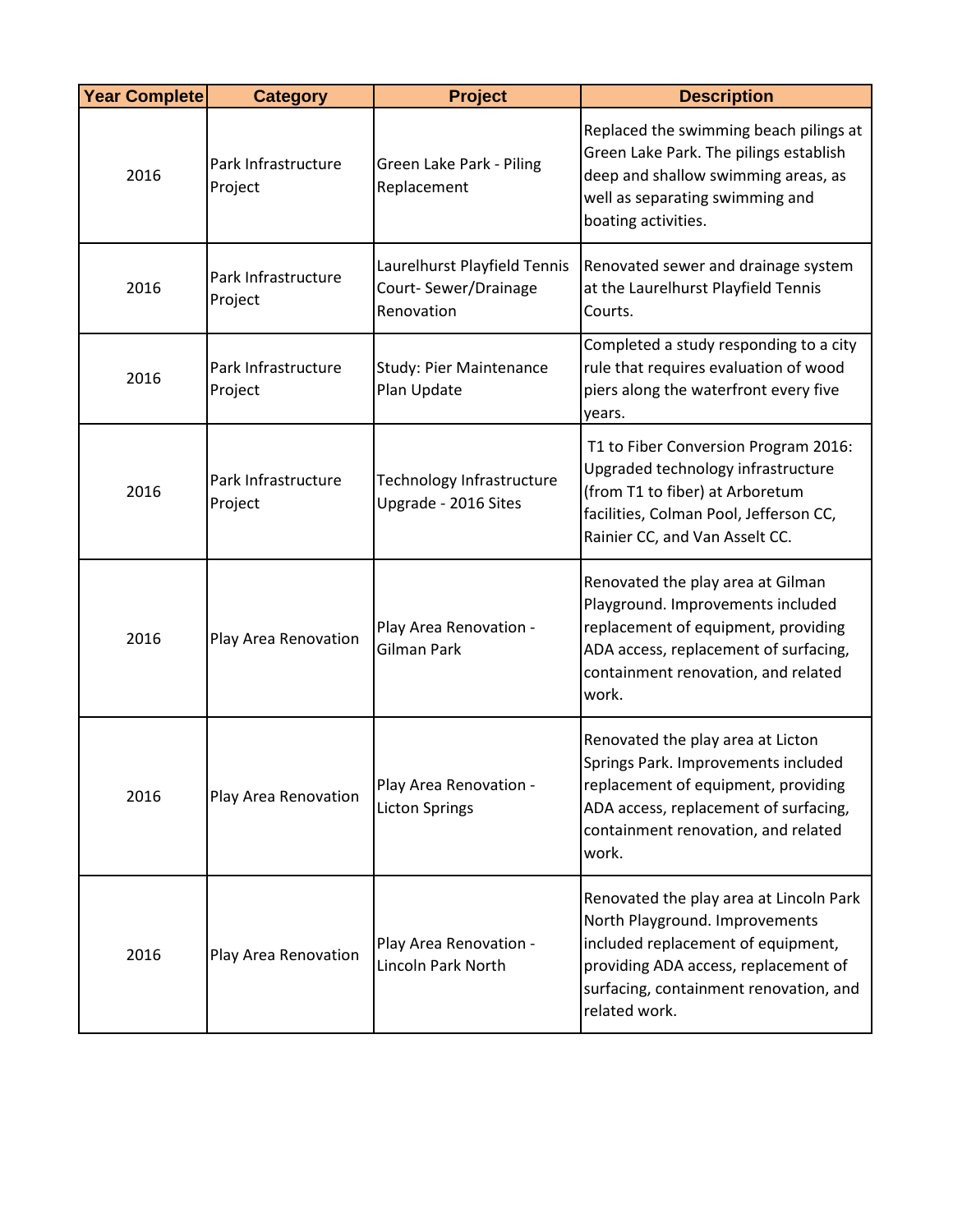| <b>Year Complete</b> | <b>Category</b>                | <b>Project</b>                                                     | <b>Description</b>                                                                                                                                                                                                 |
|----------------------|--------------------------------|--------------------------------------------------------------------|--------------------------------------------------------------------------------------------------------------------------------------------------------------------------------------------------------------------|
| 2016                 | Park Infrastructure<br>Project | Green Lake Park - Piling<br>Replacement                            | Replaced the swimming beach pilings at<br>Green Lake Park. The pilings establish<br>deep and shallow swimming areas, as<br>well as separating swimming and<br>boating activities.                                  |
| 2016                 | Park Infrastructure<br>Project | Laurelhurst Playfield Tennis<br>Court-Sewer/Drainage<br>Renovation | Renovated sewer and drainage system<br>at the Laurelhurst Playfield Tennis<br>Courts.                                                                                                                              |
| 2016                 | Park Infrastructure<br>Project | <b>Study: Pier Maintenance</b><br>Plan Update                      | Completed a study responding to a city<br>rule that requires evaluation of wood<br>piers along the waterfront every five<br>years.                                                                                 |
| 2016                 | Park Infrastructure<br>Project | Technology Infrastructure<br>Upgrade - 2016 Sites                  | T1 to Fiber Conversion Program 2016:<br>Upgraded technology infrastructure<br>(from T1 to fiber) at Arboretum<br>facilities, Colman Pool, Jefferson CC,<br>Rainier CC, and Van Asselt CC.                          |
| 2016                 | Play Area Renovation           | Play Area Renovation -<br><b>Gilman Park</b>                       | Renovated the play area at Gilman<br>Playground. Improvements included<br>replacement of equipment, providing<br>ADA access, replacement of surfacing,<br>containment renovation, and related<br>work.             |
| 2016                 | Play Area Renovation           | Play Area Renovation -<br><b>Licton Springs</b>                    | Renovated the play area at Licton<br>Springs Park. Improvements included<br>replacement of equipment, providing<br>ADA access, replacement of surfacing,<br>containment renovation, and related<br>work.           |
| 2016                 | Play Area Renovation           | Play Area Renovation -<br>Lincoln Park North                       | Renovated the play area at Lincoln Park<br>North Playground. Improvements<br>included replacement of equipment,<br>providing ADA access, replacement of<br>surfacing, containment renovation, and<br>related work. |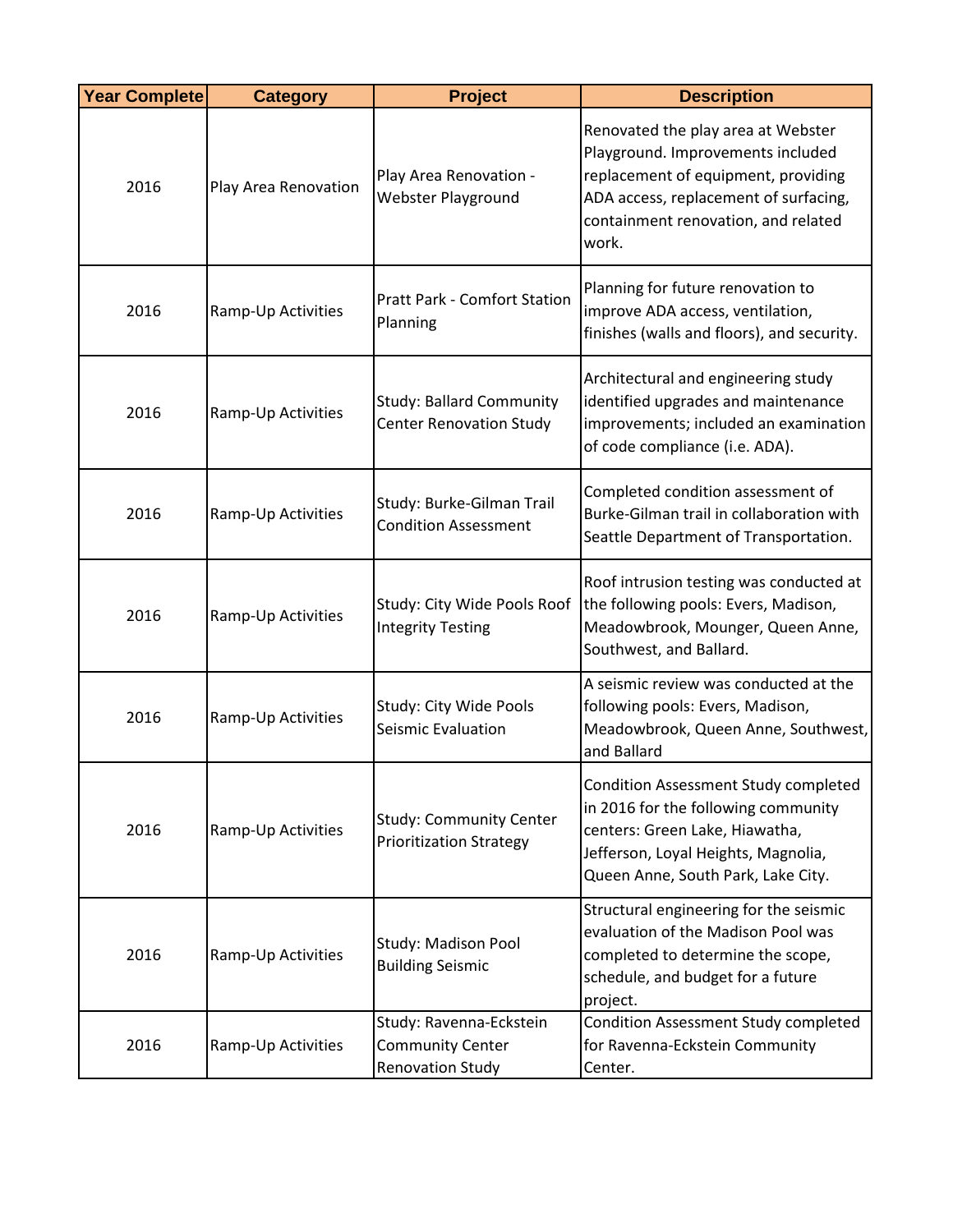| <b>Year Complete</b> | <b>Category</b>      | <b>Project</b>                                                                | <b>Description</b>                                                                                                                                                                                      |
|----------------------|----------------------|-------------------------------------------------------------------------------|---------------------------------------------------------------------------------------------------------------------------------------------------------------------------------------------------------|
| 2016                 | Play Area Renovation | Play Area Renovation -<br>Webster Playground                                  | Renovated the play area at Webster<br>Playground. Improvements included<br>replacement of equipment, providing<br>ADA access, replacement of surfacing,<br>containment renovation, and related<br>work. |
| 2016                 | Ramp-Up Activities   | <b>Pratt Park - Comfort Station</b><br>Planning                               | Planning for future renovation to<br>improve ADA access, ventilation,<br>finishes (walls and floors), and security.                                                                                     |
| 2016                 | Ramp-Up Activities   | <b>Study: Ballard Community</b><br><b>Center Renovation Study</b>             | Architectural and engineering study<br>identified upgrades and maintenance<br>improvements; included an examination<br>of code compliance (i.e. ADA).                                                   |
| 2016                 | Ramp-Up Activities   | Study: Burke-Gilman Trail<br><b>Condition Assessment</b>                      | Completed condition assessment of<br>Burke-Gilman trail in collaboration with<br>Seattle Department of Transportation.                                                                                  |
| 2016                 | Ramp-Up Activities   | Study: City Wide Pools Roof<br><b>Integrity Testing</b>                       | Roof intrusion testing was conducted at<br>the following pools: Evers, Madison,<br>Meadowbrook, Mounger, Queen Anne,<br>Southwest, and Ballard.                                                         |
| 2016                 | Ramp-Up Activities   | Study: City Wide Pools<br>Seismic Evaluation                                  | A seismic review was conducted at the<br>following pools: Evers, Madison,<br>Meadowbrook, Queen Anne, Southwest,<br>and Ballard                                                                         |
| 2016                 | Ramp-Up Activities   | <b>Study: Community Center</b><br><b>Prioritization Strategy</b>              | Condition Assessment Study completed<br>in 2016 for the following community<br>centers: Green Lake, Hiawatha,<br>Jefferson, Loyal Heights, Magnolia,<br>Queen Anne, South Park, Lake City.              |
| 2016                 | Ramp-Up Activities   | Study: Madison Pool<br><b>Building Seismic</b>                                | Structural engineering for the seismic<br>evaluation of the Madison Pool was<br>completed to determine the scope,<br>schedule, and budget for a future<br>project.                                      |
| 2016                 | Ramp-Up Activities   | Study: Ravenna-Eckstein<br><b>Community Center</b><br><b>Renovation Study</b> | Condition Assessment Study completed<br>for Ravenna-Eckstein Community<br>Center.                                                                                                                       |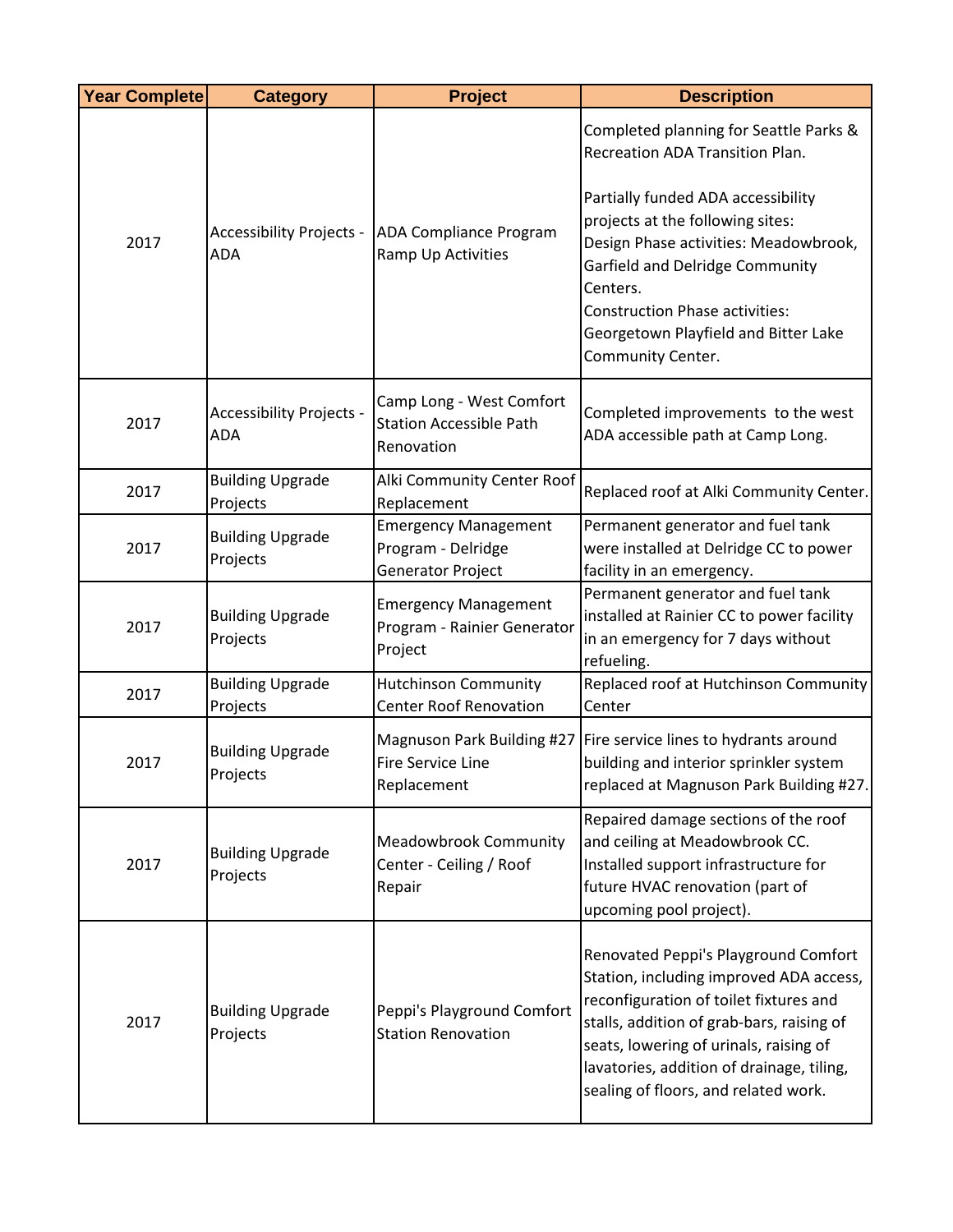| <b>Year Complete</b> | <b>Category</b>                               | <b>Project</b>                                                           | <b>Description</b>                                                                                                                                                                                                                                                                                    |
|----------------------|-----------------------------------------------|--------------------------------------------------------------------------|-------------------------------------------------------------------------------------------------------------------------------------------------------------------------------------------------------------------------------------------------------------------------------------------------------|
|                      |                                               |                                                                          | Completed planning for Seattle Parks &<br>Recreation ADA Transition Plan.                                                                                                                                                                                                                             |
| 2017                 | <b>Accessibility Projects -</b><br><b>ADA</b> | <b>ADA Compliance Program</b><br>Ramp Up Activities                      | Partially funded ADA accessibility<br>projects at the following sites:<br>Design Phase activities: Meadowbrook,<br>Garfield and Delridge Community<br>Centers.<br><b>Construction Phase activities:</b><br>Georgetown Playfield and Bitter Lake<br>Community Center.                                  |
| 2017                 | <b>Accessibility Projects -</b><br><b>ADA</b> | Camp Long - West Comfort<br><b>Station Accessible Path</b><br>Renovation | Completed improvements to the west<br>ADA accessible path at Camp Long.                                                                                                                                                                                                                               |
| 2017                 | <b>Building Upgrade</b><br>Projects           | Alki Community Center Roof<br>Replacement                                | Replaced roof at Alki Community Center.                                                                                                                                                                                                                                                               |
| 2017                 | <b>Building Upgrade</b><br>Projects           | <b>Emergency Management</b><br>Program - Delridge<br>Generator Project   | Permanent generator and fuel tank<br>were installed at Delridge CC to power<br>facility in an emergency.                                                                                                                                                                                              |
| 2017                 | <b>Building Upgrade</b><br>Projects           | <b>Emergency Management</b><br>Program - Rainier Generator<br>Project    | Permanent generator and fuel tank<br>installed at Rainier CC to power facility<br>in an emergency for 7 days without<br>refueling.                                                                                                                                                                    |
| 2017                 | <b>Building Upgrade</b><br>Projects           | <b>Hutchinson Community</b><br><b>Center Roof Renovation</b>             | Replaced roof at Hutchinson Community<br>Center                                                                                                                                                                                                                                                       |
| 2017                 | <b>Building Upgrade</b><br>Projects           | Magnuson Park Building #27<br><b>Fire Service Line</b><br>Replacement    | Fire service lines to hydrants around<br>building and interior sprinkler system<br>replaced at Magnuson Park Building #27.                                                                                                                                                                            |
| 2017                 | <b>Building Upgrade</b><br>Projects           | <b>Meadowbrook Community</b><br>Center - Ceiling / Roof<br>Repair        | Repaired damage sections of the roof<br>and ceiling at Meadowbrook CC.<br>Installed support infrastructure for<br>future HVAC renovation (part of<br>upcoming pool project).                                                                                                                          |
| 2017                 | <b>Building Upgrade</b><br>Projects           | Peppi's Playground Comfort<br><b>Station Renovation</b>                  | Renovated Peppi's Playground Comfort<br>Station, including improved ADA access,<br>reconfiguration of toilet fixtures and<br>stalls, addition of grab-bars, raising of<br>seats, lowering of urinals, raising of<br>lavatories, addition of drainage, tiling,<br>sealing of floors, and related work. |